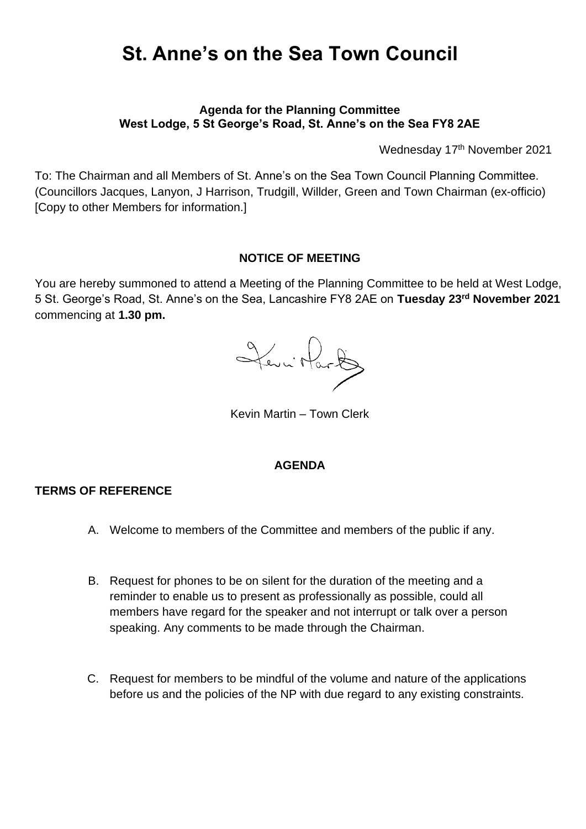# **St. Anne's on the Sea Town Council**

## **Agenda for the Planning Committee West Lodge, 5 St George's Road, St. Anne's on the Sea FY8 2AE**

Wednesday 17 th November 2021

To: The Chairman and all Members of St. Anne's on the Sea Town Council Planning Committee. (Councillors Jacques, Lanyon, J Harrison, Trudgill, Willder, Green and Town Chairman (ex-officio) [Copy to other Members for information.]

# **NOTICE OF MEETING**

You are hereby summoned to attend a Meeting of the Planning Committee to be held at West Lodge, 5 St. George's Road, St. Anne's on the Sea, Lancashire FY8 2AE on **Tuesday 23rd November 2021** commencing at **1.30 pm.**

Jevi Hart

Kevin Martin – Town Clerk

# **AGENDA**

## **TERMS OF REFERENCE**

- A. Welcome to members of the Committee and members of the public if any.
- B. Request for phones to be on silent for the duration of the meeting and a reminder to enable us to present as professionally as possible, could all members have regard for the speaker and not interrupt or talk over a person speaking. Any comments to be made through the Chairman.
- C. Request for members to be mindful of the volume and nature of the applications before us and the policies of the NP with due regard to any existing constraints.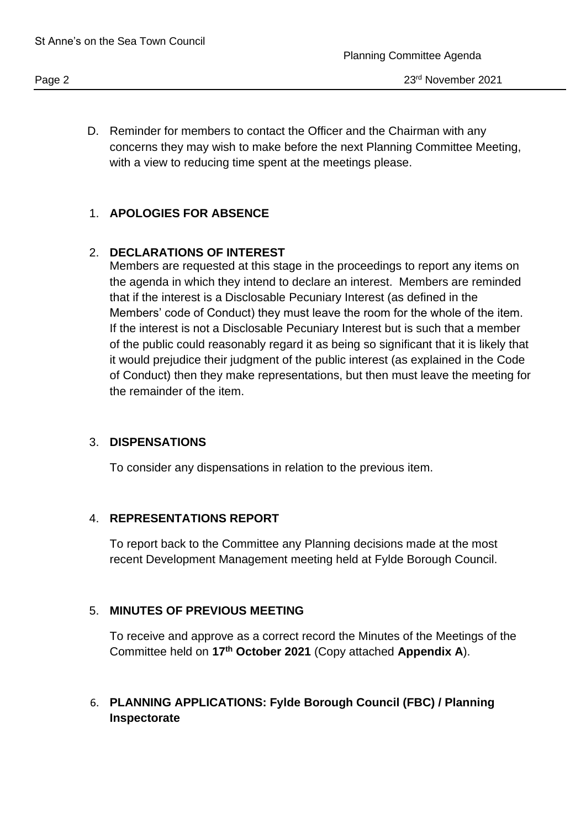D. Reminder for members to contact the Officer and the Chairman with any concerns they may wish to make before the next Planning Committee Meeting, with a view to reducing time spent at the meetings please.

# 1. **APOLOGIES FOR ABSENCE**

# 2. **DECLARATIONS OF INTEREST**

Members are requested at this stage in the proceedings to report any items on the agenda in which they intend to declare an interest. Members are reminded that if the interest is a Disclosable Pecuniary Interest (as defined in the Members' code of Conduct) they must leave the room for the whole of the item. If the interest is not a Disclosable Pecuniary Interest but is such that a member of the public could reasonably regard it as being so significant that it is likely that it would prejudice their judgment of the public interest (as explained in the Code of Conduct) then they make representations, but then must leave the meeting for the remainder of the item.

# 3. **DISPENSATIONS**

To consider any dispensations in relation to the previous item.

#### 4. **REPRESENTATIONS REPORT**

To report back to the Committee any Planning decisions made at the most recent Development Management meeting held at Fylde Borough Council.

# 5. **MINUTES OF PREVIOUS MEETING**

To receive and approve as a correct record the Minutes of the Meetings of the Committee held on **17th October 2021** (Copy attached **Appendix A**).

# 6. **PLANNING APPLICATIONS: Fylde Borough Council (FBC) / Planning Inspectorate**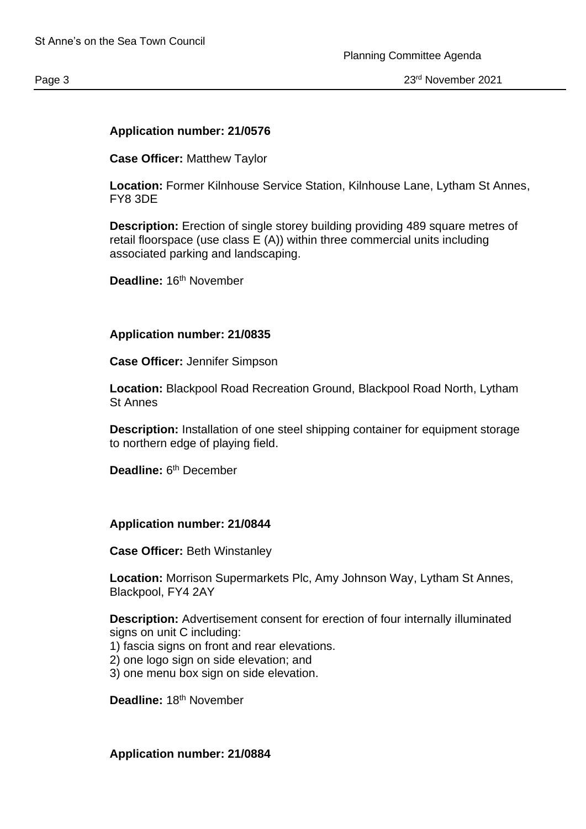#### **Application number: 21/0576**

**Case Officer:** Matthew Taylor

**Location:** Former Kilnhouse Service Station, Kilnhouse Lane, Lytham St Annes, FY8 3DE

**Description:** Erection of single storey building providing 489 square metres of retail floorspace (use class E (A)) within three commercial units including associated parking and landscaping.

Deadline: 16<sup>th</sup> November

#### **Application number: 21/0835**

**Case Officer:** Jennifer Simpson

**Location:** Blackpool Road Recreation Ground, Blackpool Road North, Lytham St Annes

**Description:** Installation of one steel shipping container for equipment storage to northern edge of playing field.

Deadline: 6<sup>th</sup> December

#### **Application number: 21/0844**

**Case Officer:** Beth Winstanley

**Location:** Morrison Supermarkets Plc, Amy Johnson Way, Lytham St Annes, Blackpool, FY4 2AY

**Description:** Advertisement consent for erection of four internally illuminated signs on unit C including:

- 1) fascia signs on front and rear elevations.
- 2) one logo sign on side elevation; and
- 3) one menu box sign on side elevation.

**Deadline:** 18th November

**Application number: 21/0884**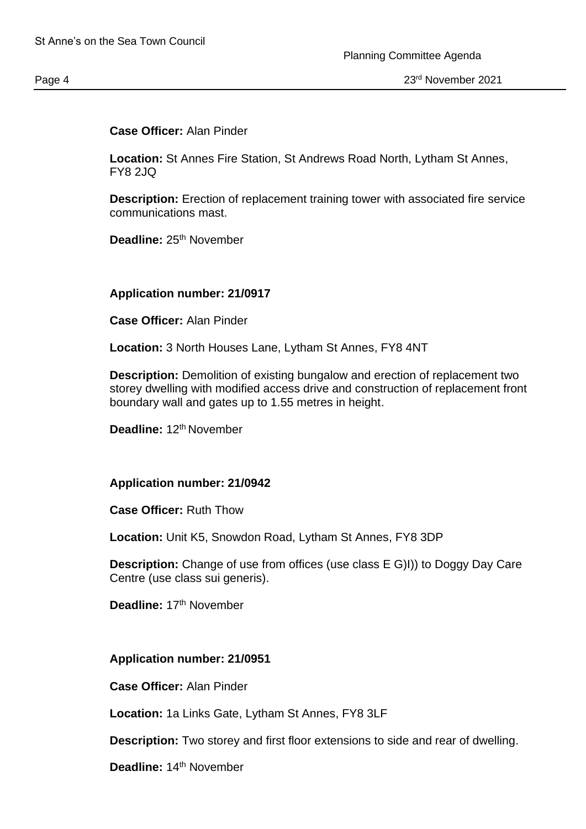#### **Case Officer:** Alan Pinder

**Location:** St Annes Fire Station, St Andrews Road North, Lytham St Annes, FY8 2JQ

**Description:** Erection of replacement training tower with associated fire service communications mast.

Deadline: 25<sup>th</sup> November

#### **Application number: 21/0917**

**Case Officer:** Alan Pinder

**Location:** 3 North Houses Lane, Lytham St Annes, FY8 4NT

**Description:** Demolition of existing bungalow and erection of replacement two storey dwelling with modified access drive and construction of replacement front boundary wall and gates up to 1.55 metres in height.

Deadline: 12<sup>th</sup> November

#### **Application number: 21/0942**

**Case Officer:** Ruth Thow

**Location:** Unit K5, Snowdon Road, Lytham St Annes, FY8 3DP

**Description:** Change of use from offices (use class E G)I)) to Doggy Day Care Centre (use class sui generis).

**Deadline:** 17th November

#### **Application number: 21/0951**

**Case Officer:** Alan Pinder

**Location:** 1a Links Gate, Lytham St Annes, FY8 3LF

**Description:** Two storey and first floor extensions to side and rear of dwelling.

Deadline: 14<sup>th</sup> November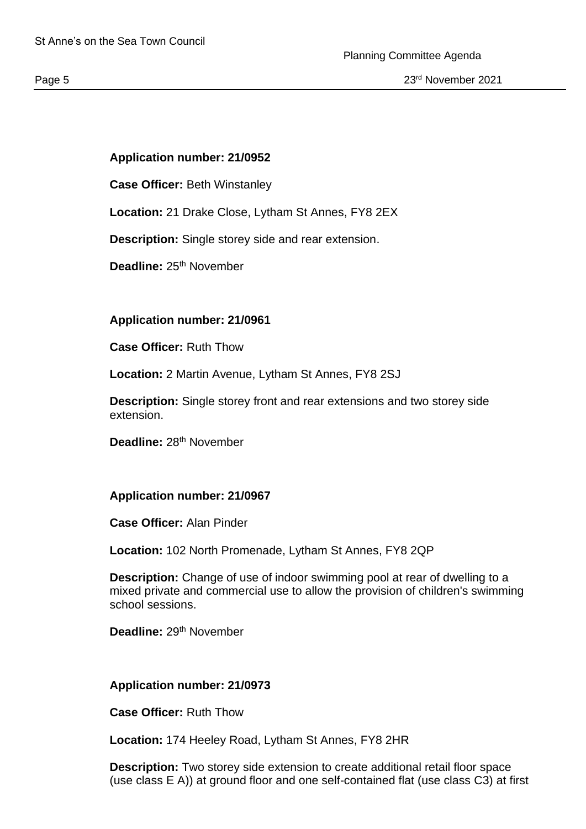## **Application number: 21/0952**

**Case Officer:** Beth Winstanley

**Location:** 21 Drake Close, Lytham St Annes, FY8 2EX

**Description:** Single storey side and rear extension.

**Deadline: 25<sup>th</sup> November** 

#### **Application number: 21/0961**

**Case Officer:** Ruth Thow

**Location:** 2 Martin Avenue, Lytham St Annes, FY8 2SJ

**Description:** Single storey front and rear extensions and two storey side extension.

Deadline: 28<sup>th</sup> November

#### **Application number: 21/0967**

**Case Officer:** Alan Pinder

**Location:** 102 North Promenade, Lytham St Annes, FY8 2QP

**Description:** Change of use of indoor swimming pool at rear of dwelling to a mixed private and commercial use to allow the provision of children's swimming school sessions.

Deadline: 29<sup>th</sup> November

#### **Application number: 21/0973**

**Case Officer:** Ruth Thow

**Location:** 174 Heeley Road, Lytham St Annes, FY8 2HR

**Description:** Two storey side extension to create additional retail floor space (use class E A)) at ground floor and one self-contained flat (use class C3) at first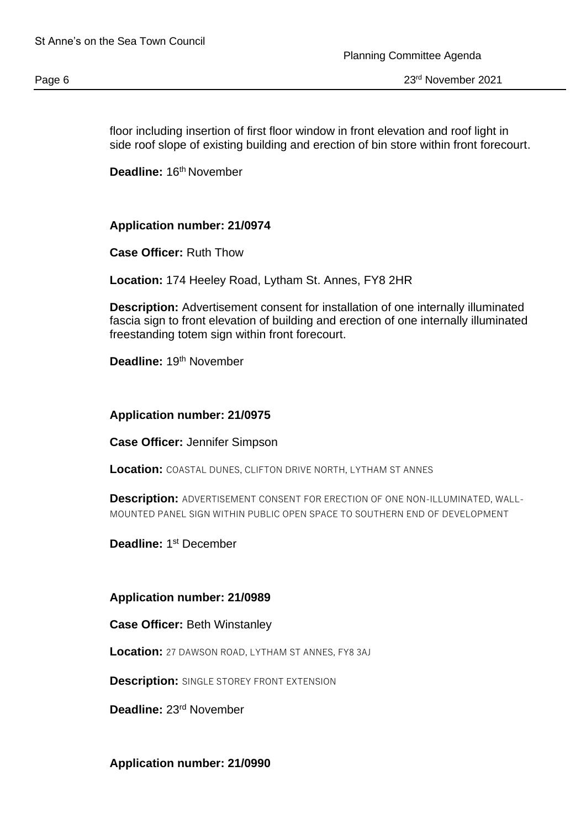floor including insertion of first floor window in front elevation and roof light in side roof slope of existing building and erection of bin store within front forecourt.

**Deadline: 16<sup>th</sup> November** 

## **Application number: 21/0974**

**Case Officer:** Ruth Thow

**Location:** 174 Heeley Road, Lytham St. Annes, FY8 2HR

**Description:** Advertisement consent for installation of one internally illuminated fascia sign to front elevation of building and erection of one internally illuminated freestanding totem sign within front forecourt.

**Deadline:** 19th November

#### **Application number: 21/0975**

**Case Officer:** Jennifer Simpson

Location: COASTAL DUNES, CLIFTON DRIVE NORTH, LYTHAM ST ANNES

**Description:** ADVERTISEMENT CONSENT FOR ERECTION OF ONE NON-ILLUMINATED, WALL-MOUNTED PANEL SIGN WITHIN PUBLIC OPEN SPACE TO SOUTHERN END OF DEVELOPMENT

Deadline: 1<sup>st</sup> December

#### **Application number: 21/0989**

**Case Officer:** Beth Winstanley

**Location:** 27 DAWSON ROAD, LYTHAM ST ANNES, FY8 3AJ

**Description:** SINGLE STOREY FRONT EXTENSION

**Deadline:** 23rd November

**Application number: 21/0990**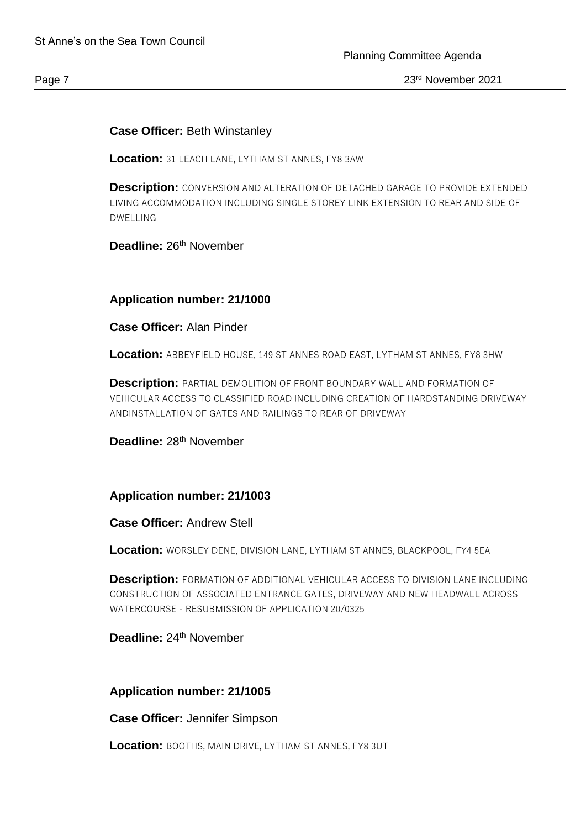## **Case Officer:** Beth Winstanley

**Location:** 31 LEACH LANE, LYTHAM ST ANNES, FY8 3AW

**Description:** CONVERSION AND ALTERATION OF DETACHED GARAGE TO PROVIDE EXTENDED LIVING ACCOMMODATION INCLUDING SINGLE STOREY LINK EXTENSION TO REAR AND SIDE OF DWELLING

# **Deadline:** 26th November

#### **Application number: 21/1000**

#### **Case Officer:** Alan Pinder

**Location:** ABBEYFIELD HOUSE, 149 ST ANNES ROAD EAST, LYTHAM ST ANNES, FY8 3HW

**Description:** PARTIAL DEMOLITION OF FRONT BOUNDARY WALL AND FORMATION OF VEHICULAR ACCESS TO CLASSIFIED ROAD INCLUDING CREATION OF HARDSTANDING DRIVEWAY ANDINSTALLATION OF GATES AND RAILINGS TO REAR OF DRIVEWAY

Deadline: 28<sup>th</sup> November

#### **Application number: 21/1003**

#### **Case Officer:** Andrew Stell

**Location:** WORSLEY DENE, DIVISION LANE, LYTHAM ST ANNES, BLACKPOOL, FY4 5EA

**Description:** FORMATION OF ADDITIONAL VEHICULAR ACCESS TO DIVISION LANE INCLUDING CONSTRUCTION OF ASSOCIATED ENTRANCE GATES, DRIVEWAY AND NEW HEADWALL ACROSS WATERCOURSE - RESUBMISSION OF APPLICATION 20/0325

Deadline: 24<sup>th</sup> November

#### **Application number: 21/1005**

**Case Officer:** Jennifer Simpson

**Location:** BOOTHS, MAIN DRIVE, LYTHAM ST ANNES, FY8 3UT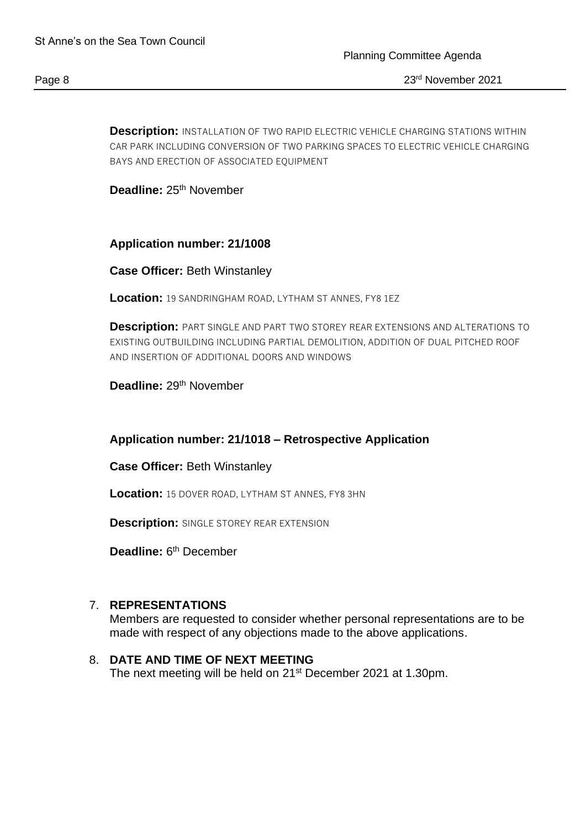**Description:** INSTALLATION OF TWO RAPID ELECTRIC VEHICLE CHARGING STATIONS WITHIN CAR PARK INCLUDING CONVERSION OF TWO PARKING SPACES TO ELECTRIC VEHICLE CHARGING BAYS AND ERECTION OF ASSOCIATED EQUIPMENT

Deadline: 25<sup>th</sup> November

**Application number: 21/1008**

**Case Officer:** Beth Winstanley

**Location:** 19 SANDRINGHAM ROAD, LYTHAM ST ANNES, FY8 1EZ

**Description:** PART SINGLE AND PART TWO STOREY REAR EXTENSIONS AND ALTERATIONS TO EXISTING OUTBUILDING INCLUDING PARTIAL DEMOLITION, ADDITION OF DUAL PITCHED ROOF AND INSERTION OF ADDITIONAL DOORS AND WINDOWS

Deadline: 29<sup>th</sup> November

#### **Application number: 21/1018 – Retrospective Application**

**Case Officer:** Beth Winstanley

**Location:** 15 DOVER ROAD, LYTHAM ST ANNES, FY8 3HN

**Description:** SINGLE STOREY REAR EXTENSION

Deadline: 6<sup>th</sup> December

#### 7. **REPRESENTATIONS**

Members are requested to consider whether personal representations are to be made with respect of any objections made to the above applications.

## 8. **DATE AND TIME OF NEXT MEETING**

The next meeting will be held on 21<sup>st</sup> December 2021 at 1.30pm.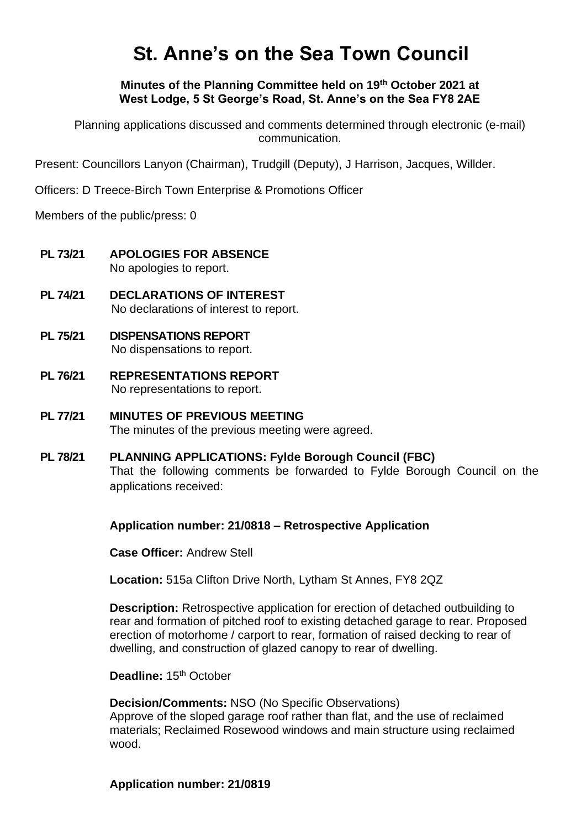# **St. Anne's on the Sea Town Council**

**Minutes of the Planning Committee held on 19th October 2021 at West Lodge, 5 St George's Road, St. Anne's on the Sea FY8 2AE**

Planning applications discussed and comments determined through electronic (e-mail) communication.

Present: Councillors Lanyon (Chairman), Trudgill (Deputy), J Harrison, Jacques, Willder.

Officers: D Treece-Birch Town Enterprise & Promotions Officer

Members of the public/press: 0

- **PL 73/21 APOLOGIES FOR ABSENCE** No apologies to report.
- **PL 74/21 DECLARATIONS OF INTEREST** No declarations of interest to report.
- **PL 75/21 DISPENSATIONS REPORT** No dispensations to report.
- **PL 76/21 REPRESENTATIONS REPORT** No representations to report.
- **PL 77/21 MINUTES OF PREVIOUS MEETING** The minutes of the previous meeting were agreed.
- **PL 78/21 PLANNING APPLICATIONS: Fylde Borough Council (FBC)** That the following comments be forwarded to Fylde Borough Council on the applications received:

**Application number: 21/0818 – Retrospective Application**

**Case Officer:** Andrew Stell

**Location:** 515a Clifton Drive North, Lytham St Annes, FY8 2QZ

**Description:** Retrospective application for erection of detached outbuilding to rear and formation of pitched roof to existing detached garage to rear. Proposed erection of motorhome / carport to rear, formation of raised decking to rear of dwelling, and construction of glazed canopy to rear of dwelling.

**Deadline: 15<sup>th</sup> October** 

**Decision/Comments:** NSO (No Specific Observations) Approve of the sloped garage roof rather than flat, and the use of reclaimed materials; Reclaimed Rosewood windows and main structure using reclaimed wood.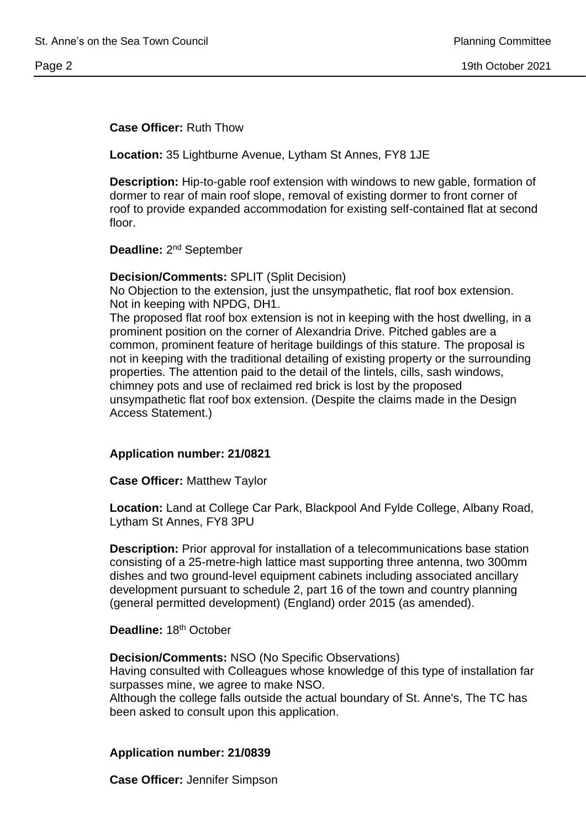## **Case Officer:** Ruth Thow

**Location:** 35 Lightburne Avenue, Lytham St Annes, FY8 1JE

**Description:** Hip-to-gable roof extension with windows to new gable, formation of dormer to rear of main roof slope, removal of existing dormer to front corner of roof to provide expanded accommodation for existing self-contained flat at second floor.

Deadline: 2<sup>nd</sup> September

**Decision/Comments:** SPLIT (Split Decision) No Objection to the extension, just the unsympathetic, flat roof box extension. Not in keeping with NPDG, DH1.

The proposed flat roof box extension is not in keeping with the host dwelling, in a prominent position on the corner of Alexandria Drive. Pitched gables are a common, prominent feature of heritage buildings of this stature. The proposal is not in keeping with the traditional detailing of existing property or the surrounding properties. The attention paid to the detail of the lintels, cills, sash windows, chimney pots and use of reclaimed red brick is lost by the proposed unsympathetic flat roof box extension. (Despite the claims made in the Design Access Statement.)

#### **Application number: 21/0821**

**Case Officer:** Matthew Taylor

**Location:** Land at College Car Park, Blackpool And Fylde College, Albany Road, Lytham St Annes, FY8 3PU

**Description:** Prior approval for installation of a telecommunications base station consisting of a 25-metre-high lattice mast supporting three antenna, two 300mm dishes and two ground-level equipment cabinets including associated ancillary development pursuant to schedule 2, part 16 of the town and country planning (general permitted development) (England) order 2015 (as amended).

**Deadline:** 18th October

**Decision/Comments:** NSO (No Specific Observations)

Having consulted with Colleagues whose knowledge of this type of installation far surpasses mine, we agree to make NSO.

Although the college falls outside the actual boundary of St. Anne's, The TC has been asked to consult upon this application.

#### **Application number: 21/0839**

**Case Officer:** Jennifer Simpson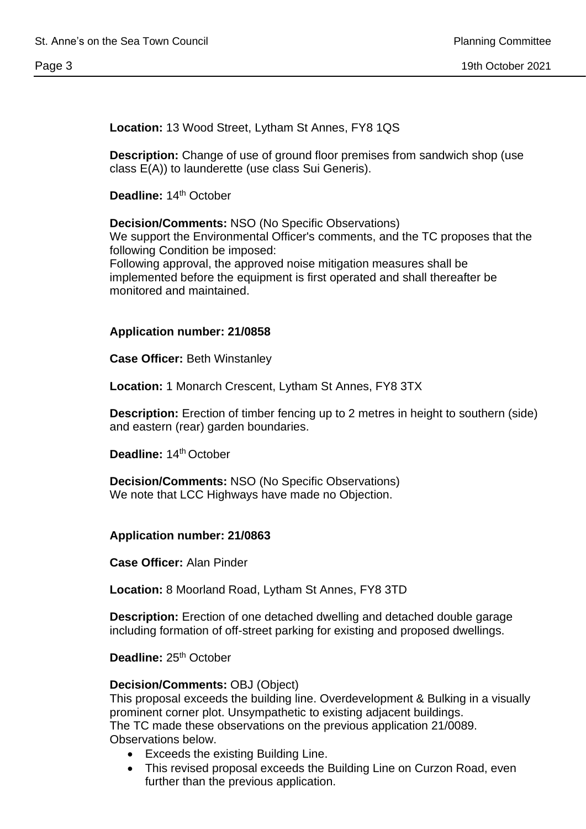**Location:** 13 Wood Street, Lytham St Annes, FY8 1QS

**Description:** Change of use of ground floor premises from sandwich shop (use class E(A)) to launderette (use class Sui Generis).

**Deadline: 14th October** 

**Decision/Comments:** NSO (No Specific Observations) We support the Environmental Officer's comments, and the TC proposes that the following Condition be imposed: Following approval, the approved noise mitigation measures shall be implemented before the equipment is first operated and shall thereafter be monitored and maintained.

#### **Application number: 21/0858**

**Case Officer:** Beth Winstanley

**Location:** 1 Monarch Crescent, Lytham St Annes, FY8 3TX

**Description:** Erection of timber fencing up to 2 metres in height to southern (side) and eastern (rear) garden boundaries.

**Deadline:** 14th October

**Decision/Comments:** NSO (No Specific Observations) We note that LCC Highways have made no Objection.

#### **Application number: 21/0863**

**Case Officer:** Alan Pinder

**Location:** 8 Moorland Road, Lytham St Annes, FY8 3TD

**Description:** Erection of one detached dwelling and detached double garage including formation of off-street parking for existing and proposed dwellings.

**Deadline: 25<sup>th</sup> October** 

#### **Decision/Comments:** OBJ (Object)

This proposal exceeds the building line. Overdevelopment & Bulking in a visually prominent corner plot. Unsympathetic to existing adjacent buildings. The TC made these observations on the previous application 21/0089. Observations below.

- Exceeds the existing Building Line.
- This revised proposal exceeds the Building Line on Curzon Road, even further than the previous application.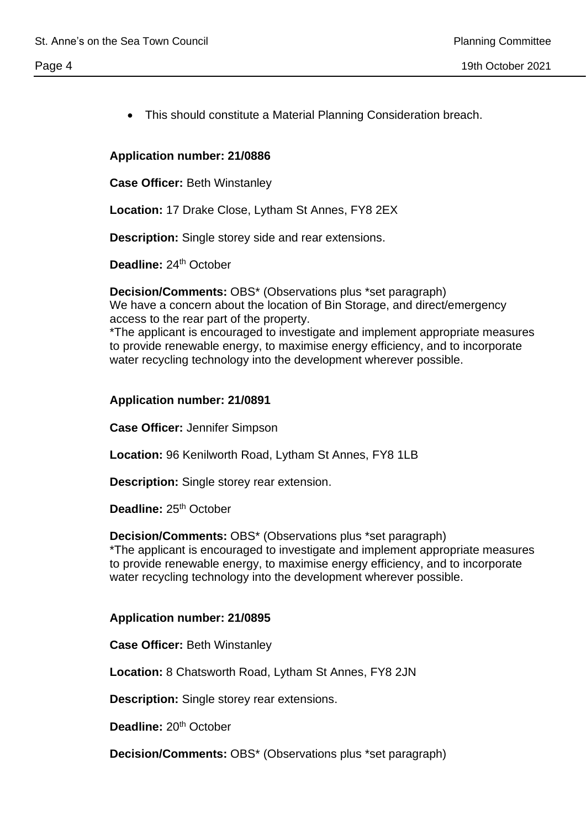## **Application number: 21/0886**

**Case Officer:** Beth Winstanley

**Location:** 17 Drake Close, Lytham St Annes, FY8 2EX

**Description:** Single storey side and rear extensions.

**Deadline: 24<sup>th</sup> October** 

**Decision/Comments:** OBS\* (Observations plus \*set paragraph) We have a concern about the location of Bin Storage, and direct/emergency access to the rear part of the property.

• This should constitute a Material Planning Consideration breach.

\*The applicant is encouraged to investigate and implement appropriate measures to provide renewable energy, to maximise energy efficiency, and to incorporate water recycling technology into the development wherever possible.

## **Application number: 21/0891**

**Case Officer:** Jennifer Simpson

**Location:** 96 Kenilworth Road, Lytham St Annes, FY8 1LB

**Description:** Single storey rear extension.

**Deadline: 25<sup>th</sup> October** 

**Decision/Comments:** OBS\* (Observations plus \*set paragraph) \*The applicant is encouraged to investigate and implement appropriate measures to provide renewable energy, to maximise energy efficiency, and to incorporate water recycling technology into the development wherever possible.

#### **Application number: 21/0895**

**Case Officer:** Beth Winstanley

**Location:** 8 Chatsworth Road, Lytham St Annes, FY8 2JN

**Description:** Single storey rear extensions.

**Deadline: 20<sup>th</sup> October** 

**Decision/Comments:** OBS\* (Observations plus \*set paragraph)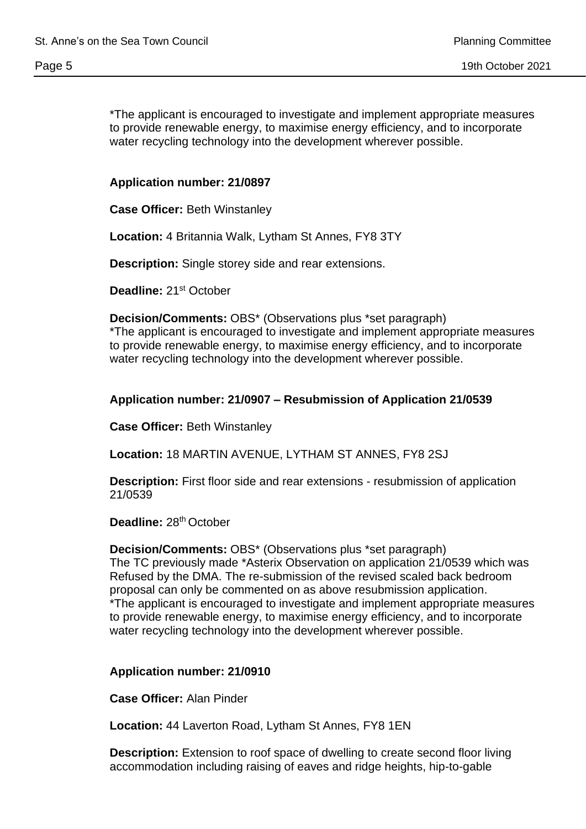\*The applicant is encouraged to investigate and implement appropriate measures to provide renewable energy, to maximise energy efficiency, and to incorporate water recycling technology into the development wherever possible.

# **Application number: 21/0897**

**Case Officer:** Beth Winstanley

**Location:** 4 Britannia Walk, Lytham St Annes, FY8 3TY

**Description:** Single storey side and rear extensions.

**Deadline:** 21st October

**Decision/Comments:** OBS\* (Observations plus \*set paragraph) \*The applicant is encouraged to investigate and implement appropriate measures to provide renewable energy, to maximise energy efficiency, and to incorporate water recycling technology into the development wherever possible.

## **Application number: 21/0907 – Resubmission of Application 21/0539**

**Case Officer:** Beth Winstanley

**Location:** 18 MARTIN AVENUE, LYTHAM ST ANNES, FY8 2SJ

**Description:** First floor side and rear extensions - resubmission of application 21/0539

Deadline: 28<sup>th</sup> October

**Decision/Comments:** OBS\* (Observations plus \*set paragraph) The TC previously made \*Asterix Observation on application 21/0539 which was Refused by the DMA. The re-submission of the revised scaled back bedroom proposal can only be commented on as above resubmission application. \*The applicant is encouraged to investigate and implement appropriate measures to provide renewable energy, to maximise energy efficiency, and to incorporate water recycling technology into the development wherever possible.

**Application number: 21/0910**

**Case Officer:** Alan Pinder

**Location:** 44 Laverton Road, Lytham St Annes, FY8 1EN

**Description:** Extension to roof space of dwelling to create second floor living accommodation including raising of eaves and ridge heights, hip-to-gable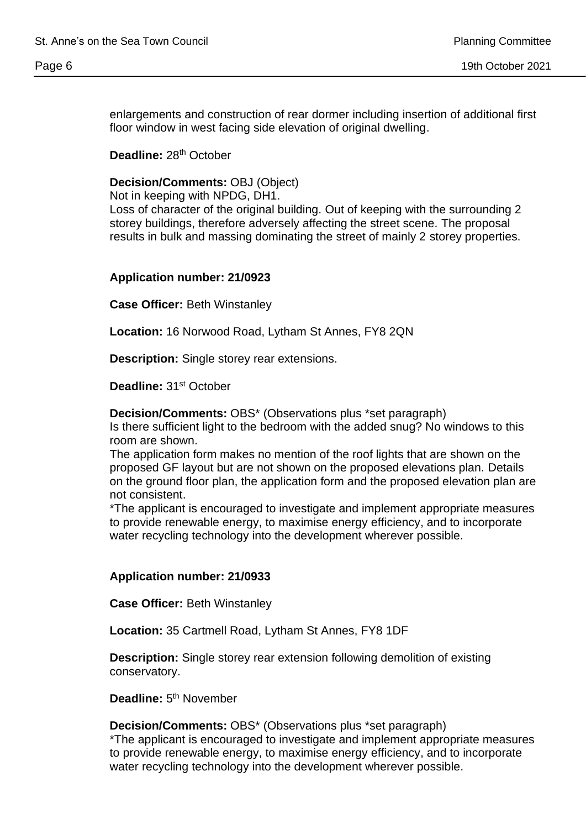enlargements and construction of rear dormer including insertion of additional first floor window in west facing side elevation of original dwelling.

Deadline: 28<sup>th</sup> October

**Decision/Comments:** OBJ (Object)

Not in keeping with NPDG, DH1.

Loss of character of the original building. Out of keeping with the surrounding 2 storey buildings, therefore adversely affecting the street scene. The proposal results in bulk and massing dominating the street of mainly 2 storey properties.

#### **Application number: 21/0923**

**Case Officer:** Beth Winstanley

**Location:** 16 Norwood Road, Lytham St Annes, FY8 2QN

**Description:** Single storey rear extensions.

**Deadline:** 31st October

**Decision/Comments:** OBS\* (Observations plus \*set paragraph)

Is there sufficient light to the bedroom with the added snug? No windows to this room are shown.

The application form makes no mention of the roof lights that are shown on the proposed GF layout but are not shown on the proposed elevations plan. Details on the ground floor plan, the application form and the proposed elevation plan are not consistent.

\*The applicant is encouraged to investigate and implement appropriate measures to provide renewable energy, to maximise energy efficiency, and to incorporate water recycling technology into the development wherever possible.

#### **Application number: 21/0933**

**Case Officer:** Beth Winstanley

**Location:** 35 Cartmell Road, Lytham St Annes, FY8 1DF

**Description:** Single storey rear extension following demolition of existing conservatory.

Deadline: 5<sup>th</sup> November

**Decision/Comments:** OBS\* (Observations plus \*set paragraph) \*The applicant is encouraged to investigate and implement appropriate measures to provide renewable energy, to maximise energy efficiency, and to incorporate water recycling technology into the development wherever possible.